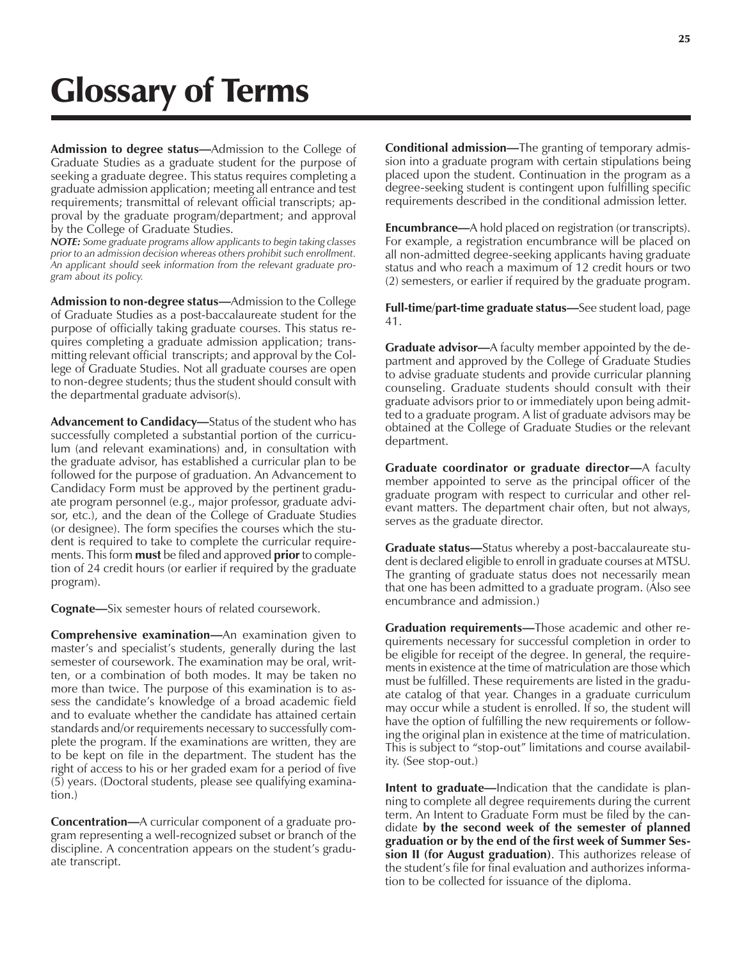## Glossary of Terms

**Admission to degree status—**Admission to the College of Graduate Studies as a graduate student for the purpose of seeking a graduate degree. This status requires completing a graduate admission application; meeting all entrance and test requirements; transmittal of relevant official transcripts; approval by the graduate program/department; and approval by the College of Graduate Studies.

*NOTE: Some graduate programs allow applicants to begin taking classes prior to an admission decision whereas others prohibit such enrollment. An applicant should seek information from the relevant graduate program about its policy.*

**Admission to non-degree status—**Admission to the College of Graduate Studies as a post-baccalaureate student for the purpose of officially taking graduate courses. This status requires completing a graduate admission application; transmitting relevant official transcripts; and approval by the College of Graduate Studies. Not all graduate courses are open to non-degree students; thus the student should consult with the departmental graduate advisor(s).

**Advancement to Candidacy—**Status of the student who has successfully completed a substantial portion of the curriculum (and relevant examinations) and, in consultation with the graduate advisor, has established a curricular plan to be followed for the purpose of graduation. An Advancement to Candidacy Form must be approved by the pertinent graduate program personnel (e.g., major professor, graduate advisor, etc.), and the dean of the College of Graduate Studies (or designee). The form specifies the courses which the student is required to take to complete the curricular requirements. This form **must** be filed and approved **prior** to completion of 24 credit hours (or earlier if required by the graduate program).

**Cognate—**Six semester hours of related coursework.

**Comprehensive examination—**An examination given to master's and specialist's students, generally during the last semester of coursework. The examination may be oral, written, or a combination of both modes. It may be taken no more than twice. The purpose of this examination is to assess the candidate's knowledge of a broad academic field and to evaluate whether the candidate has attained certain standards and/or requirements necessary to successfully complete the program. If the examinations are written, they are to be kept on file in the department. The student has the right of access to his or her graded exam for a period of five (5) years. (Doctoral students, please see qualifying examination.)

**Concentration—**A curricular component of a graduate program representing a well-recognized subset or branch of the discipline. A concentration appears on the student's graduate transcript.

**Conditional admission—**The granting of temporary admission into a graduate program with certain stipulations being placed upon the student. Continuation in the program as a degree-seeking student is contingent upon fulfilling specific requirements described in the conditional admission letter.

**Encumbrance—**A hold placed on registration (or transcripts). For example, a registration encumbrance will be placed on all non-admitted degree-seeking applicants having graduate status and who reach a maximum of 12 credit hours or two (2) semesters, or earlier if required by the graduate program.

**Full-time/part-time graduate status—**See student load, page 41.

**Graduate advisor—**A faculty member appointed by the department and approved by the College of Graduate Studies to advise graduate students and provide curricular planning counseling. Graduate students should consult with their graduate advisors prior to or immediately upon being admitted to a graduate program. A list of graduate advisors may be obtained at the College of Graduate Studies or the relevant department.

**Graduate coordinator or graduate director—**A faculty member appointed to serve as the principal officer of the graduate program with respect to curricular and other relevant matters. The department chair often, but not always, serves as the graduate director.

**Graduate status—**Status whereby a post-baccalaureate student is declared eligible to enroll in graduate courses at MTSU. The granting of graduate status does not necessarily mean that one has been admitted to a graduate program. (Also see encumbrance and admission.)

**Graduation requirements—**Those academic and other requirements necessary for successful completion in order to be eligible for receipt of the degree. In general, the requirements in existence at the time of matriculation are those which must be fulfilled. These requirements are listed in the graduate catalog of that year. Changes in a graduate curriculum may occur while a student is enrolled. If so, the student will have the option of fulfilling the new requirements or following the original plan in existence at the time of matriculation. This is subject to "stop-out" limitations and course availability. (See stop-out.)

**Intent to graduate—**Indication that the candidate is planning to complete all degree requirements during the current term. An Intent to Graduate Form must be filed by the candidate **by the second week of the semester of planned graduation or by the end of the first week of Summer Session II (for August graduation)**. This authorizes release of the student's file for final evaluation and authorizes information to be collected for issuance of the diploma.